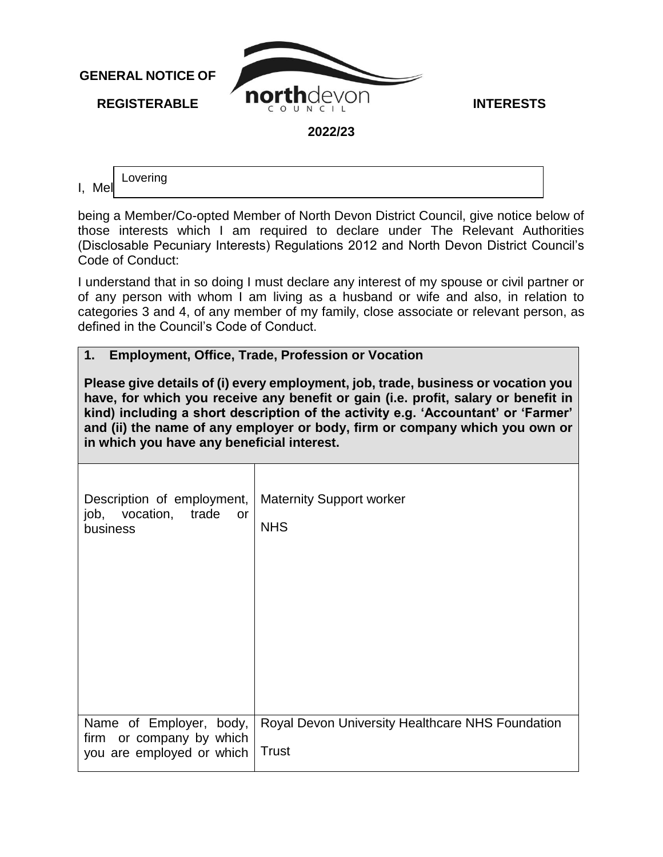

I, Mel Lovering

being a Member/Co-opted Member of North Devon District Council, give notice below of those interests which I am required to declare under The Relevant Authorities (Disclosable Pecuniary Interests) Regulations 2012 and North Devon District Council's Code of Conduct:

I understand that in so doing I must declare any interest of my spouse or civil partner or of any person with whom I am living as a husband or wife and also, in relation to categories 3 and 4, of any member of my family, close associate or relevant person, as defined in the Council's Code of Conduct.

## **1. Employment, Office, Trade, Profession or Vocation**

**Please give details of (i) every employment, job, trade, business or vocation you have, for which you receive any benefit or gain (i.e. profit, salary or benefit in kind) including a short description of the activity e.g. 'Accountant' or 'Farmer' and (ii) the name of any employer or body, firm or company which you own or in which you have any beneficial interest.** 

| Description of employment,   Maternity Support worker<br>job, vocation, trade<br>or<br>business | <b>NHS</b>                                                       |
|-------------------------------------------------------------------------------------------------|------------------------------------------------------------------|
|                                                                                                 |                                                                  |
| Name of Employer, body,<br>firm or company by which<br>you are employed or which                | Royal Devon University Healthcare NHS Foundation<br><b>Trust</b> |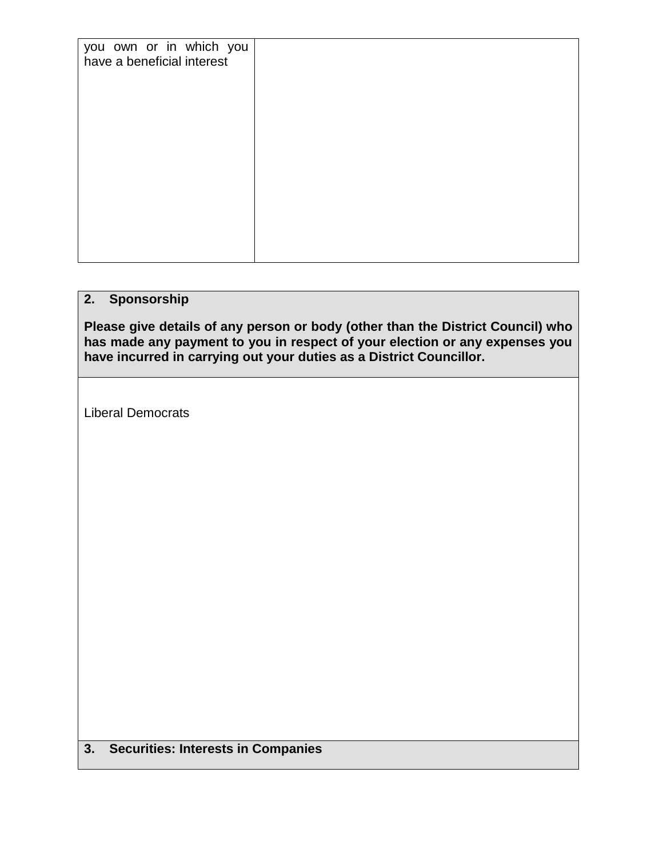| you own or in which you    |  |
|----------------------------|--|
| have a beneficial interest |  |
|                            |  |
|                            |  |
|                            |  |
|                            |  |
|                            |  |
|                            |  |
|                            |  |
|                            |  |
|                            |  |
|                            |  |

## **2. Sponsorship**

**Please give details of any person or body (other than the District Council) who has made any payment to you in respect of your election or any expenses you have incurred in carrying out your duties as a District Councillor.** 

Liberal Democrats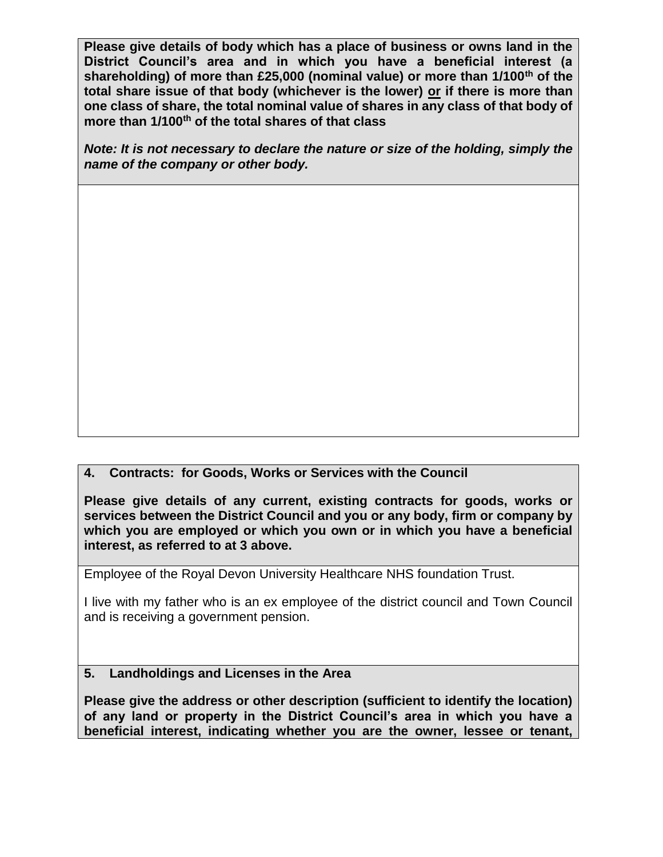**Please give details of body which has a place of business or owns land in the District Council's area and in which you have a beneficial interest (a shareholding) of more than £25,000 (nominal value) or more than 1/100th of the total share issue of that body (whichever is the lower) or if there is more than one class of share, the total nominal value of shares in any class of that body of more than 1/100th of the total shares of that class**

*Note: It is not necessary to declare the nature or size of the holding, simply the name of the company or other body.* 

## **4. Contracts: for Goods, Works or Services with the Council**

**Please give details of any current, existing contracts for goods, works or services between the District Council and you or any body, firm or company by which you are employed or which you own or in which you have a beneficial interest, as referred to at 3 above.** 

Employee of the Royal Devon University Healthcare NHS foundation Trust.

I live with my father who is an ex employee of the district council and Town Council and is receiving a government pension.

## **5. Landholdings and Licenses in the Area**

**Please give the address or other description (sufficient to identify the location) of any land or property in the District Council's area in which you have a beneficial interest, indicating whether you are the owner, lessee or tenant,**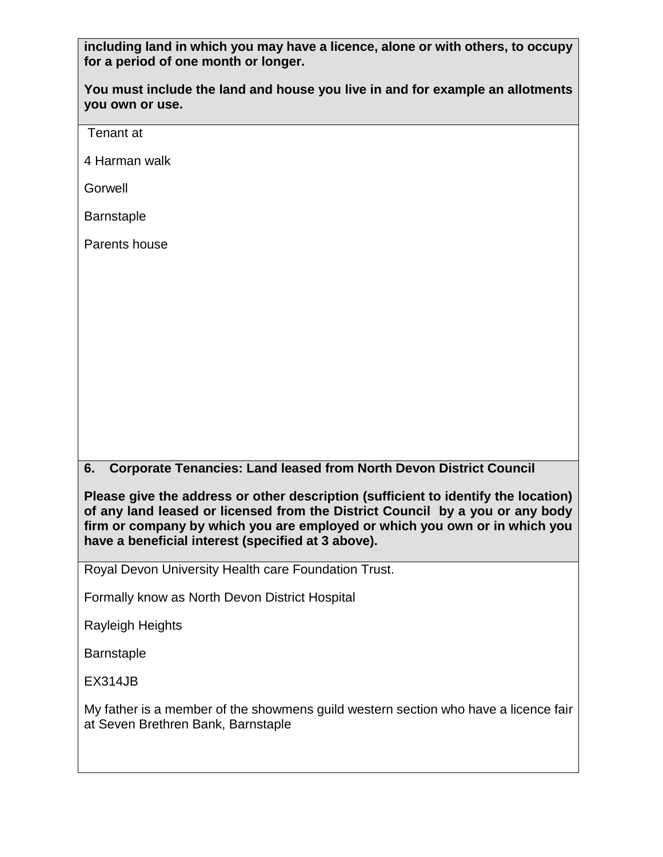**including land in which you may have a licence, alone or with others, to occupy for a period of one month or longer.** 

**You must include the land and house you live in and for example an allotments you own or use.**

Tenant at

4 Harman walk

**Gorwell** 

**Barnstaple** 

Parents house

**6. Corporate Tenancies: Land leased from North Devon District Council**

**Please give the address or other description (sufficient to identify the location) of any land leased or licensed from the District Council by a you or any body firm or company by which you are employed or which you own or in which you have a beneficial interest (specified at 3 above).** 

Royal Devon University Health care Foundation Trust.

Formally know as North Devon District Hospital

Rayleigh Heights

Barnstaple

EX314JB

My father is a member of the showmens guild western section who have a licence fair at Seven Brethren Bank, Barnstaple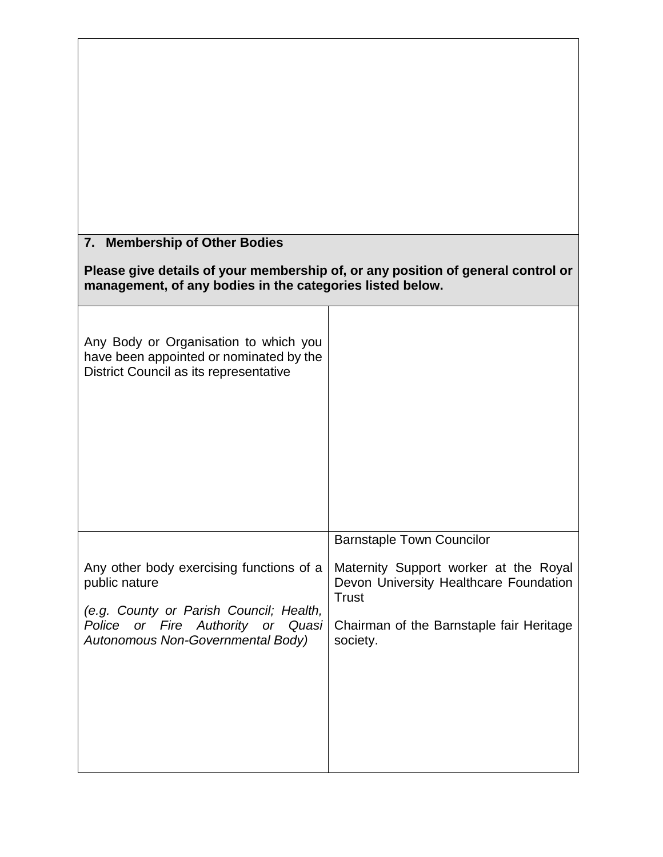| 7. Membership of Other Bodies                                                                                                                 |                                                                                                 |  |  |  |
|-----------------------------------------------------------------------------------------------------------------------------------------------|-------------------------------------------------------------------------------------------------|--|--|--|
| Please give details of your membership of, or any position of general control or<br>management, of any bodies in the categories listed below. |                                                                                                 |  |  |  |
| Any Body or Organisation to which you<br>have been appointed or nominated by the<br>District Council as its representative                    |                                                                                                 |  |  |  |
|                                                                                                                                               | <b>Barnstaple Town Councilor</b>                                                                |  |  |  |
| Any other body exercising functions of a<br>public nature                                                                                     | Maternity Support worker at the Royal<br>Devon University Healthcare Foundation<br><b>Trust</b> |  |  |  |
| (e.g. County or Parish Council; Health,<br>Police or Fire Authority<br>or<br>Quasi<br>Autonomous Non-Governmental Body)                       | Chairman of the Barnstaple fair Heritage<br>society.                                            |  |  |  |
|                                                                                                                                               |                                                                                                 |  |  |  |
|                                                                                                                                               |                                                                                                 |  |  |  |
|                                                                                                                                               |                                                                                                 |  |  |  |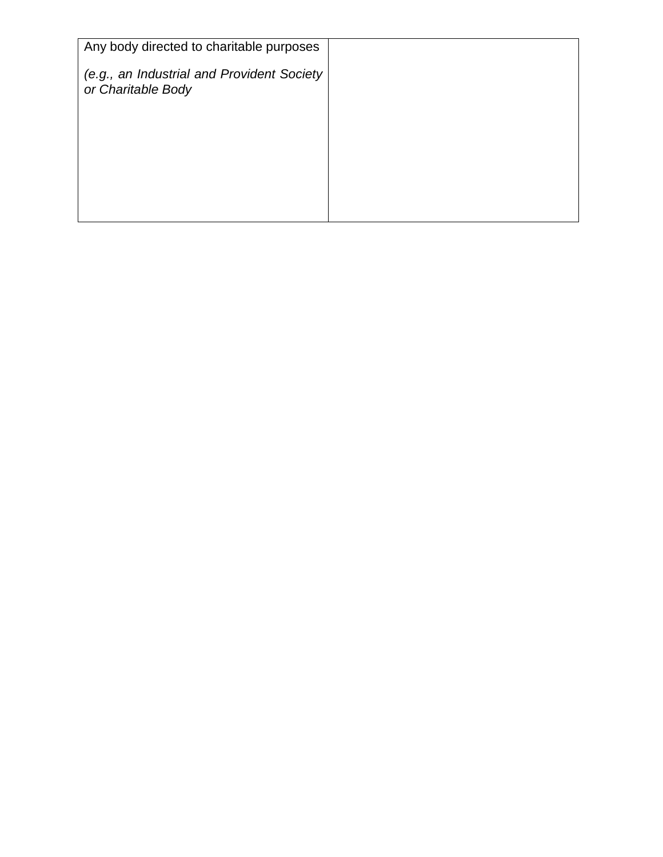| Any body directed to charitable purposes                         |  |
|------------------------------------------------------------------|--|
| (e.g., an Industrial and Provident Society<br>or Charitable Body |  |
|                                                                  |  |
|                                                                  |  |
|                                                                  |  |
|                                                                  |  |
|                                                                  |  |